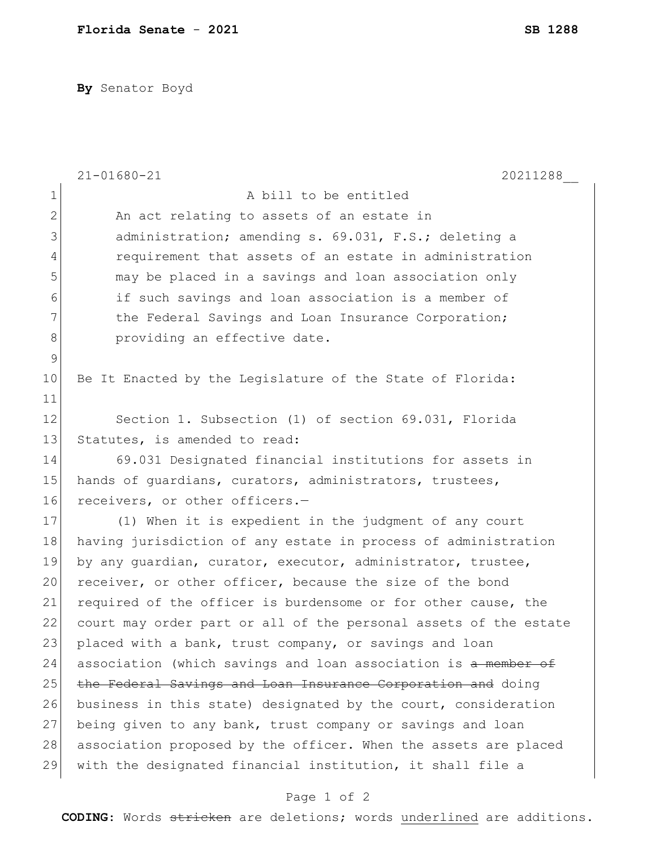**By** Senator Boyd

|                | $21 - 01680 - 21$<br>20211288                                    |
|----------------|------------------------------------------------------------------|
| $\mathbf 1$    | A bill to be entitled                                            |
| $\overline{2}$ | An act relating to assets of an estate in                        |
| 3              | administration; amending s. 69.031, F.S.; deleting a             |
| 4              | requirement that assets of an estate in administration           |
| 5              | may be placed in a savings and loan association only             |
| 6              | if such savings and loan association is a member of              |
| 7              | the Federal Savings and Loan Insurance Corporation;              |
| 8              | providing an effective date.                                     |
| $\mathsf 9$    |                                                                  |
| 10             | Be It Enacted by the Legislature of the State of Florida:        |
| 11             |                                                                  |
| 12             | Section 1. Subsection (1) of section 69.031, Florida             |
| 13             | Statutes, is amended to read:                                    |
| 14             | 69.031 Designated financial institutions for assets in           |
| 15             | hands of guardians, curators, administrators, trustees,          |
| 16             | receivers, or other officers.-                                   |
| 17             | (1) When it is expedient in the judgment of any court            |
| 18             | having jurisdiction of any estate in process of administration   |
| 19             | by any guardian, curator, executor, administrator, trustee,      |
| 20             | receiver, or other officer, because the size of the bond         |
| 21             | required of the officer is burdensome or for other cause, the    |
| 22             | court may order part or all of the personal assets of the estate |
| 23             | placed with a bank, trust company, or savings and loan           |
| 24             | association (which savings and loan association is a member of   |
| 25             | the Federal Savings and Loan Insurance Corporation and doing     |
| 26             | business in this state) designated by the court, consideration   |
| 27             | being given to any bank, trust company or savings and loan       |
| 28             | association proposed by the officer. When the assets are placed  |
| 29             | with the designated financial institution, it shall file a       |

## Page 1 of 2

**CODING**: Words stricken are deletions; words underlined are additions.